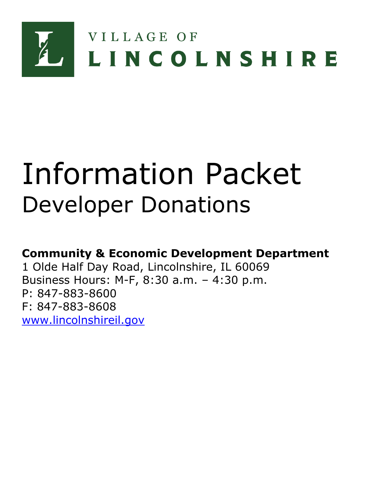

# Information Packet Developer Donations

**Community & Economic Development Department**

1 Olde Half Day Road, Lincolnshire, IL 60069 Business Hours: M-F, 8:30 a.m. – 4:30 p.m. P: 847-883-8600 F: 847-883-8608 [www.lincolnshireil.gov](http://www.lincolnshireil.gov/)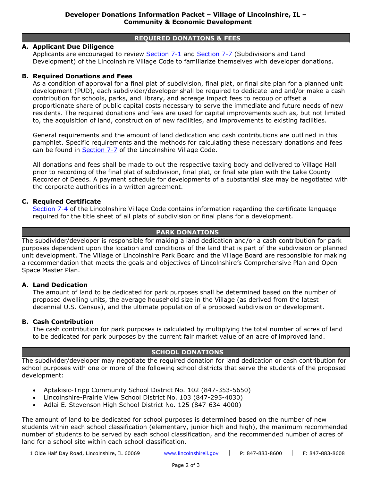# **REQUIRED DONATIONS & FEES**

## **A. Applicant Due Diligence**

Applicants are encouraged to review [Section 7-1](https://www.lincolnshireil.gov/sitemedia/documents/quick_links/village-code/title-7/code0701.pdf) and [Section 7-7](https://www.lincolnshireil.gov/sitemedia/documents/quick_links/village-code/title-7/code0707.pdf) (Subdivisions and Land Development) of the Lincolnshire Village Code to familiarize themselves with developer donations.

#### **B. Required Donations and Fees**

As a condition of approval for a final plat of subdivision, final plat, or final site plan for a planned unit development (PUD), each subdivider/developer shall be required to dedicate land and/or make a cash contribution for schools, parks, and library, and acreage impact fees to recoup or offset a proportionate share of public capital costs necessary to serve the immediate and future needs of new residents. The required donations and fees are used for capital improvements such as, but not limited to, the acquisition of land, construction of new facilities, and improvements to existing facilities.

General requirements and the amount of land dedication and cash contributions are outlined in this pamphlet. Specific requirements and the methods for calculating these necessary donations and fees can be found in **Section 7-7** of the Lincolnshire Village Code.

All donations and fees shall be made to out the respective taxing body and delivered to Village Hall prior to recording of the final plat of subdivision, final plat, or final site plan with the Lake County Recorder of Deeds. A payment schedule for developments of a substantial size may be negotiated with the corporate authorities in a written agreement.

#### **C. Required Certificate**

[Section 7-4](https://www.lincolnshireil.gov/sitemedia/documents/quick_links/village-code/title-7/code0704.pdf) of the Lincolnshire Village Code contains information regarding the certificate language required for the title sheet of all plats of subdivision or final plans for a development.

## **PARK DONATIONS**

The subdivider/developer is responsible for making a land dedication and/or a cash contribution for park purposes dependent upon the location and conditions of the land that is part of the subdivision or planned unit development. The Village of Lincolnshire Park Board and the Village Board are responsible for making a recommendation that meets the goals and objectives of Lincolnshire's Comprehensive Plan and Open Space Master Plan.

#### **A. Land Dedication**

The amount of land to be dedicated for park purposes shall be determined based on the number of proposed dwelling units, the average household size in the Village (as derived from the latest decennial U.S. Census), and the ultimate population of a proposed subdivision or development.

## **B. Cash Contribution**

The cash contribution for park purposes is calculated by multiplying the total number of acres of land to be dedicated for park purposes by the current fair market value of an acre of improved land.

# **SCHOOL DONATIONS**

The subdivider/developer may negotiate the required donation for land dedication or cash contribution for school purposes with one or more of the following school districts that serve the students of the proposed development:

- Aptakisic-Tripp Community School District No. 102 (847-353-5650)
- Lincolnshire-Prairie View School District No. 103 (847-295-4030)
- Adlai E. Stevenson High School District No. 125 (847-634-4000)

The amount of land to be dedicated for school purposes is determined based on the number of new students within each school classification (elementary, junior high and high), the maximum recommended number of students to be served by each school classification, and the recommended number of acres of land for a school site within each school classification.

1 Olde Half Day Road, Lincolnshire, IL 60069 | [www.lincolnshireil.gov](http://www.lincolnshireil.gov/) | P: 847-883-8600 | F: 847-883-8608